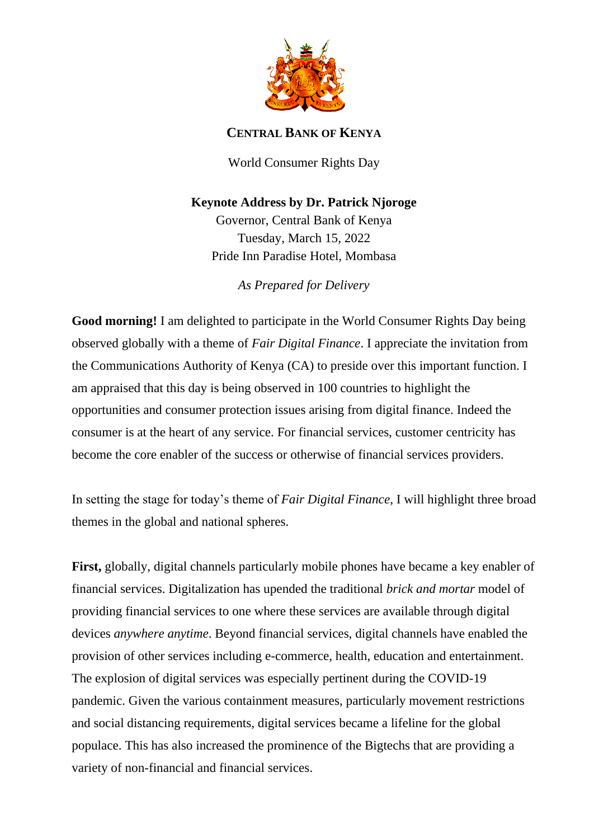

## **CENTRAL BANK OF KENYA**

World Consumer Rights Day

## **Keynote Address by Dr. Patrick Njoroge**

Governor, Central Bank of Kenya Tuesday, March 15, 2022 Pride Inn Paradise Hotel, Mombasa

*As Prepared for Delivery*

**Good morning!** I am delighted to participate in the World Consumer Rights Day being observed globally with a theme of *Fair Digital Finance*. I appreciate the invitation from the Communications Authority of Kenya (CA) to preside over this important function. I am appraised that this day is being observed in 100 countries to highlight the opportunities and consumer protection issues arising from digital finance. Indeed the consumer is at the heart of any service. For financial services, customer centricity has become the core enabler of the success or otherwise of financial services providers.

In setting the stage for today's theme of *Fair Digital Finance*, I will highlight three broad themes in the global and national spheres.

**First,** globally, digital channels particularly mobile phones have became a key enabler of financial services. Digitalization has upended the traditional *brick and mortar* model of providing financial services to one where these services are available through digital devices *anywhere anytime*. Beyond financial services, digital channels have enabled the provision of other services including e-commerce, health, education and entertainment. The explosion of digital services was especially pertinent during the COVID-19 pandemic. Given the various containment measures, particularly movement restrictions and social distancing requirements, digital services became a lifeline for the global populace. This has also increased the prominence of the Bigtechs that are providing a variety of non-financial and financial services.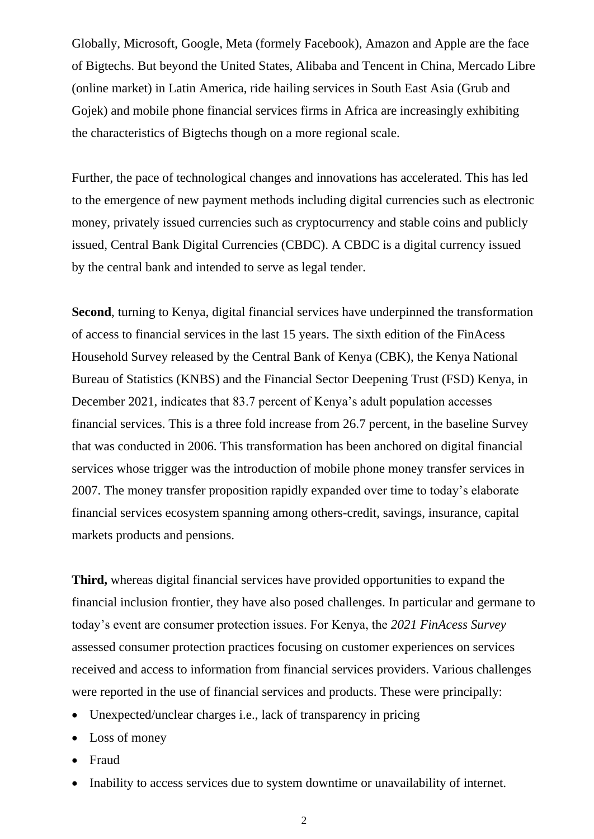Globally, Microsoft, Google, Meta (formely Facebook), Amazon and Apple are the face of Bigtechs. But beyond the United States, Alibaba and Tencent in China, Mercado Libre (online market) in Latin America, ride hailing services in South East Asia (Grub and Gojek) and mobile phone financial services firms in Africa are increasingly exhibiting the characteristics of Bigtechs though on a more regional scale.

Further, the pace of technological changes and innovations has accelerated. This has led to the emergence of new payment methods including digital currencies such as electronic money, privately issued currencies such as cryptocurrency and stable coins and publicly issued, Central Bank Digital Currencies (CBDC). A CBDC is a digital currency issued by the central bank and intended to serve as legal tender.

**Second**, turning to Kenya, digital financial services have underpinned the transformation of access to financial services in the last 15 years. The sixth edition of the FinAcess Household Survey released by the Central Bank of Kenya (CBK), the Kenya National Bureau of Statistics (KNBS) and the Financial Sector Deepening Trust (FSD) Kenya, in December 2021, indicates that 83.7 percent of Kenya's adult population accesses financial services. This is a three fold increase from 26.7 percent, in the baseline Survey that was conducted in 2006. This transformation has been anchored on digital financial services whose trigger was the introduction of mobile phone money transfer services in 2007. The money transfer proposition rapidly expanded over time to today's elaborate financial services ecosystem spanning among others-credit, savings, insurance, capital markets products and pensions.

**Third,** whereas digital financial services have provided opportunities to expand the financial inclusion frontier, they have also posed challenges. In particular and germane to today's event are consumer protection issues. For Kenya, the *2021 FinAcess Survey* assessed consumer protection practices focusing on customer experiences on services received and access to information from financial services providers. Various challenges were reported in the use of financial services and products. These were principally:

- Unexpected/unclear charges i.e., lack of transparency in pricing
- Loss of money
- Fraud
- Inability to access services due to system downtime or unavailability of internet.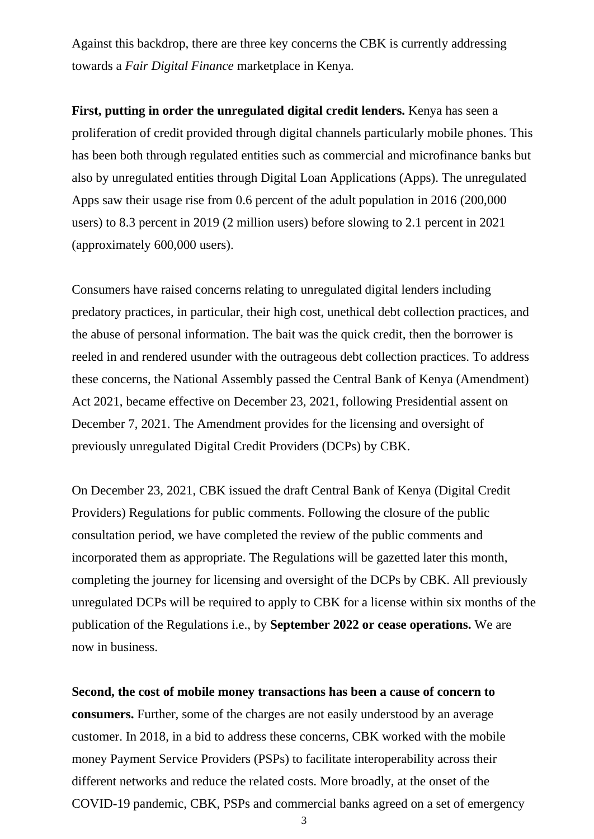Against this backdrop, there are three key concerns the CBK is currently addressing towards a *Fair Digital Finance* marketplace in Kenya.

**First, putting in order the unregulated digital credit lenders.** Kenya has seen a proliferation of credit provided through digital channels particularly mobile phones. This has been both through regulated entities such as commercial and microfinance banks but also by unregulated entities through Digital Loan Applications (Apps). The unregulated Apps saw their usage rise from 0.6 percent of the adult population in 2016 (200,000 users) to 8.3 percent in 2019 (2 million users) before slowing to 2.1 percent in 2021 (approximately 600,000 users).

Consumers have raised concerns relating to unregulated digital lenders including predatory practices, in particular, their high cost, unethical debt collection practices, and the abuse of personal information. The bait was the quick credit, then the borrower is reeled in and rendered usunder with the outrageous debt collection practices. To address these concerns, the National Assembly passed the Central Bank of Kenya (Amendment) Act 2021, became effective on December 23, 2021, following Presidential assent on December 7, 2021. The Amendment provides for the licensing and oversight of previously unregulated Digital Credit Providers (DCPs) by CBK.

On December 23, 2021, CBK issued the draft Central Bank of Kenya (Digital Credit Providers) Regulations for public comments. Following the closure of the public consultation period, we have completed the review of the public comments and incorporated them as appropriate. The Regulations will be gazetted later this month, completing the journey for licensing and oversight of the DCPs by CBK. All previously unregulated DCPs will be required to apply to CBK for a license within six months of the publication of the Regulations i.e., by **September 2022 or cease operations.** We are now in business.

**Second, the cost of mobile money transactions has been a cause of concern to consumers.** Further, some of the charges are not easily understood by an average customer. In 2018, in a bid to address these concerns, CBK worked with the mobile money Payment Service Providers (PSPs) to facilitate interoperability across their different networks and reduce the related costs. More broadly, at the onset of the COVID-19 pandemic, CBK, PSPs and commercial banks agreed on a set of emergency

3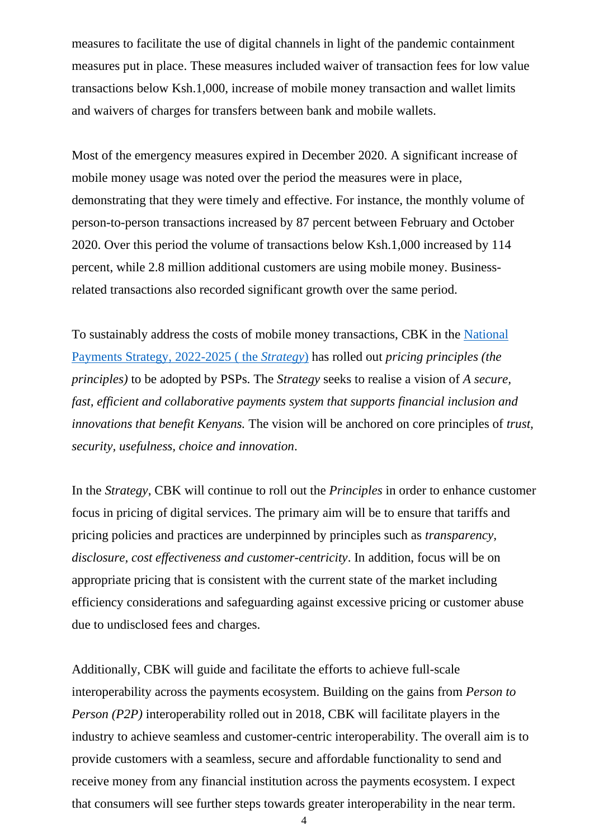measures to facilitate the use of digital channels in light of the pandemic containment measures put in place. These measures included waiver of transaction fees for low value transactions below Ksh.1,000, increase of mobile money transaction and wallet limits and waivers of charges for transfers between bank and mobile wallets.

Most of the emergency measures expired in December 2020. A significant increase of mobile money usage was noted over the period the measures were in place, demonstrating that they were timely and effective. For instance, the monthly volume of person-to-person transactions increased by 87 percent between February and October 2020. Over this period the volume of transactions below Ksh.1,000 increased by 114 percent, while 2.8 million additional customers are using mobile money. Businessrelated transactions also recorded significant growth over the same period.

To sustainably address the costs of mobile money transactions, CBK in the [National](https://www.centralbank.go.ke/wp-content/uploads/2022/02/National-Payments-Strategy-2022-2025.pdf)  [Payments Strategy, 2022-2025 \( the](https://www.centralbank.go.ke/wp-content/uploads/2022/02/National-Payments-Strategy-2022-2025.pdf) *Strategy*) has rolled out *pricing principles (the principles)* to be adopted by PSPs. The *Strategy* seeks to realise a vision of *A secure, fast, efficient and collaborative payments system that supports financial inclusion and innovations that benefit Kenyans.* The vision will be anchored on core principles of *trust, security, usefulness, choice and innovation*.

In the *Strategy*, CBK will continue to roll out the *Principles* in order to enhance customer focus in pricing of digital services. The primary aim will be to ensure that tariffs and pricing policies and practices are underpinned by principles such as *transparency, disclosure, cost effectiveness and customer-centricity*. In addition, focus will be on appropriate pricing that is consistent with the current state of the market including efficiency considerations and safeguarding against excessive pricing or customer abuse due to undisclosed fees and charges.

Additionally, CBK will guide and facilitate the efforts to achieve full-scale interoperability across the payments ecosystem. Building on the gains from *Person to Person (P2P)* interoperability rolled out in 2018, CBK will facilitate players in the industry to achieve seamless and customer-centric interoperability. The overall aim is to provide customers with a seamless, secure and affordable functionality to send and receive money from any financial institution across the payments ecosystem. I expect that consumers will see further steps towards greater interoperability in the near term.

4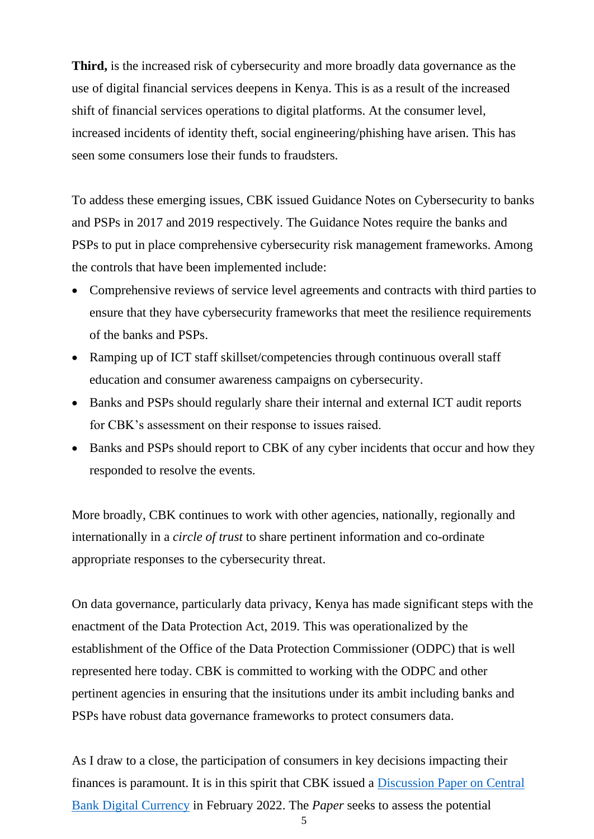**Third,** is the increased risk of cybersecurity and more broadly data governance as the use of digital financial services deepens in Kenya. This is as a result of the increased shift of financial services operations to digital platforms. At the consumer level, increased incidents of identity theft, social engineering/phishing have arisen. This has seen some consumers lose their funds to fraudsters.

To addess these emerging issues, CBK issued Guidance Notes on Cybersecurity to banks and PSPs in 2017 and 2019 respectively. The Guidance Notes require the banks and PSPs to put in place comprehensive cybersecurity risk management frameworks. Among the controls that have been implemented include:

- Comprehensive reviews of service level agreements and contracts with third parties to ensure that they have cybersecurity frameworks that meet the resilience requirements of the banks and PSPs.
- Ramping up of ICT staff skillset/competencies through continuous overall staff education and consumer awareness campaigns on cybersecurity.
- Banks and PSPs should regularly share their internal and external ICT audit reports for CBK's assessment on their response to issues raised.
- Banks and PSPs should report to CBK of any cyber incidents that occur and how they responded to resolve the events.

More broadly, CBK continues to work with other agencies, nationally, regionally and internationally in a *circle of trust* to share pertinent information and co-ordinate appropriate responses to the cybersecurity threat.

On data governance, particularly data privacy, Kenya has made significant steps with the enactment of the Data Protection Act, 2019. This was operationalized by the establishment of the Office of the Data Protection Commissioner (ODPC) that is well represented here today. CBK is committed to working with the ODPC and other pertinent agencies in ensuring that the insitutions under its ambit including banks and PSPs have robust data governance frameworks to protect consumers data.

As I draw to a close, the participation of consumers in key decisions impacting their finances is paramount. It is in this spirit that CBK issued a [Discussion Paper on Central](https://www.centralbank.go.ke/uploads/discussion_papers/CentralBankDigitalCurrency.pdf) [Bank Digital Currency](https://www.centralbank.go.ke/uploads/discussion_papers/CentralBankDigitalCurrency.pdf) in February 2022. The *Paper* seeks to assess the potential